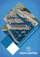# Conte of Ethics Awareness of AL Conduct PARTIES OF T **PORTO CENTRAL**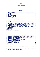

# **SUMMARY**

| 1    |                                                             | $\mathbf{2}$            |
|------|-------------------------------------------------------------|-------------------------|
| 2    |                                                             | $\overline{2}$          |
| 3    |                                                             | $\overline{3}$          |
| 4    |                                                             | $\overline{\mathbf{3}}$ |
| 5    |                                                             | $\overline{\mathbf{3}}$ |
| 5.1  |                                                             | $\overline{3}$          |
| 5.2  |                                                             | $\overline{\mathbf{4}}$ |
| 5.3  |                                                             | $\overline{\mathbf{4}}$ |
| 5.4  |                                                             | 4                       |
| 5.5  |                                                             | 5                       |
| 5.6  |                                                             | 5                       |
| 5.7  |                                                             | 5                       |
| 5.8  | Accounting operations and financial statements              | $6\phantom{1}6$         |
| 5.9  | confidentiality of intellectual property and Company<br>The | 6                       |
|      |                                                             |                         |
| 5.10 |                                                             | 6                       |
| 5.11 |                                                             | $6\phantom{1}6$         |
| 6    |                                                             | $\overline{7}$          |
| 7    |                                                             | 7                       |
| 8    |                                                             | $\overline{7}$          |
| 8.1  | Conflict of interest and conduct with external parties      | $\overline{7}$          |
| 8.2  |                                                             | 8                       |
| 8.3  |                                                             | 8                       |
| 8.4  |                                                             | 8                       |
| 8.5  |                                                             | 8                       |
| 8.6  |                                                             | 9                       |
| 8.7  |                                                             | 9                       |
| 9    |                                                             | 9                       |
| 10   |                                                             | 10                      |
| 10.1 |                                                             | 10                      |
| 10.2 |                                                             | 10                      |
| 10.3 |                                                             | 11                      |
| 11   |                                                             | 11                      |
| 12   |                                                             | 11                      |
|      | <b>RECEIPT AND COMMITMENT TERM</b>                          |                         |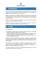

#### **Introduction** 1

Porto Central Complexo Industrial Portuário S/A (hereinafter referred to as 'Company') believes that the fostering and the promotion of ethical and moral principles are fundamental to the sustainable growth of its business.

Based on this premise, the Company drafted this Code of Ethics and Professional Conduct (referred to as 'Code') in order to structure and guide, in a fully transparent way, the behaviors and conduct relative to the activities related to the Company's Corporate Purpose.

Therefore, this Code reinforces and publicizes the minimum standards regarding attitude and conduct adopted by the Company.

Members and Partners shall practice and disclose the Company's values and principles, and comply and enforce the provisions of this Code.

#### **Scope** 2

This Code applies to:

- (a) Shareholders, Company Board of Directors, Company Executives, employees, trainees and apprentices (referred to as "Members").
- (b) Consultants, suppliers, business partners and other people or companies who will act for the benefit, or on behalf, of the Company (referred to as "Partners").
- (c) Subsidiary affiliated and controlled companies which, for the purpose of this Code, will be considered as "Members").

Members and Partners shall perform their activities in compliance with the function for which they are hired, as well as, in compliance with, the provisions of this Code, the applicable laws and regulations, internal policies and contracts and agreements signed by the Company.

This Code is not intended to describe all behaviors and practices related or resulting from the Company's business. Its purpose is to establish the minimum principles and guidelines to assist in the behavior of its Members and Partners in favor of an ethical and honest conduct.

The subjects treated in this Code may be complemented by additional rules, manuals or other instructions issued by the Company.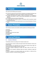

#### $3<sup>1</sup>$ **Purpose**

This Code has the following main purposes:

- (a) To inform the ethical and moral minimum standards to be adopted by Members and Partners regarding the conduct of the Company's business and activities;
- (b) To guide and harmonize the attitude, conduct and decisions to be adopted by Members and Partners in order to avoid wrong interpretations and contradictory decisions;
- (c) To regulate internal and external relationships;
- (d) To make public the Company's policies in accordance with the practices of good corporate governance;
- (e) To protect and promote human rights based on the Universal Declaration of Human Rights.

#### **Basic Principles**  $\boldsymbol{\varDelta}$

The Company's business and activities shall be guided by the following principles:

- (a) Equality;
- (b) Transparency;
- (c) Loyalty;
- (d) Respect for life and human rights;
- (e) Sustainability;
- (f) Integrity.

#### 5 **Internal Policies**

# **5.1. Conducts of Members**

The Members shall act according to the Company's bylaws and:

(i) Act with fairness, honesty, loyalty and respect towards other Members, Partners and outside parties;

(ii) Act according to the applicable laws and with respect towards human rights, the environment and the principles set forth in this Code;

(iii) Perform activities respecting the health and safety criteria set forth by the Company;

(iv) Preserve the Company's intellectual rights and assets, including its image and reputation;

(v) Report in advance, any external activities that could affect or conflict with the Company's activities or otherwise benefit competitors;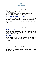

(vi) Prevent any conflicts of self-interest with the Company's interests and, when this is not possible, refrain from representing the Company in the specific issue and report the fact to the responsible manager or the Company's Ethics Committee;

(vii) Not use the Company's name or professional position for any personal interest;

(viii) Not offer or receive gifts or benefits as a means of exercising improper influence or for personal gain or reward;

(ix) Not practice any act of economic or financial interest or any other activity that competes, directly or indirectly, with the Company's business.

# **5.2. Company's recruitment and hiring procedure**

The procedure for recruitment, hiring and contract termination of the Company's Members will be non-discriminational and will be equal employment opportunity.

Applicants indicated by Members shall comply with the stages of the recruitment and hiring process, on equal conditions with other candidates.

Positions of subordination or relevant influence between family Members in the Company are not allowed, unless by prior approval by the Company´s Executive Members. In cases involving Company Executive Members, a prior approval by the Company's Board of Directors is needed. In cases involving the Company's Board of Directors, a prior approval by the Company's Shareholders is required.

#### **5.3. Payment, benefits and professional growth**

Payments, benefits and professional-growth policies toward Members, are based on individual merit and professional skills of each Member, according to the professional opportunities offered by the Company.

#### **5.4. Workplace**

Members shall treat each other and third parties with warmth and respect, regardless of any hierarchical position, title or function. Any kind of discrimination, embarrassment, moral or sexual harassment, intrusion into private life or any other form of physical or moral abuse are not tolerated.

Members shall dress appropriately and consistently with the type of work performed, including, when necessary, the use of Personal Protective Equipment –PPE).

The misuse of drugs, alcohol or any illicit substance while working for, or representing, the Company, or while conducting Company Business, is prohibited. Members are also prohibited to remain in the Company under the influence of drugs, alcohol or any illicit substance.

Carrying any kind of weapon in the Company is prohibited, except by expressly authorized professionals.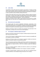

#### **5.5. Labor safety**

The Members shall comply with the procedures and practices of health and safety related to their activities, mainly the procedures related to the use, maintenance and care of safety equipment (Personal Protective Equipment-PPE) defined as mandatory, in order to promote a safe and healthy working environment.

Partners shall comply with the law and the Company's health and safety procedures and practices, as well as with all safety and health practices and procedures related to their activities, including the provision and instruction regarding the use, maintenance and care of Personal Protective Equipment – PPE by its personnel.

Members and Partners have the right to refuse tasks that may put them at a health and/or safety risk, when there are no adequate protective procedures or measures in place.

# **5.6. Environment and sustainability**

The Company takes into account sustainable development, preservation of the environment, efficient use of non-renewable resources, recycling and the development of environmental awareness, and therefore, it undertakes environmental responsibility initiatives and supports a precautionary approach to environmental challenges.

Members and Partners shall act in benefit of the protection and preservation of the environment, according to the current environmental legislation.

# **5.7. The Company's intellectual rights and assets**

Members and Partners shall protect the Company's intellectual rights and assets under their care and avoid their misuse.

The use of the Company's intellectual rights and assets for purposes incompatible with the Company's interests is prohibited.

Members and Partners shall use the Company's equipment, facilities and electronic systems for purposes related to its professional activities.

The use of Company equipment, facilities and electronic systems for private purposes shall not interfere with the activities of Members or Partners or in the performance of the Company, nor impose any loss or risk to the Company's assets and intellectual rights.

The use of company equipment, facilities and electronic systems by non-authorized third parties is not allowed.

The installation of unauthorized software in the Company's computer is prohibited.

All Patents, industrial designs, software and any other work of an intellectual nature created by Members in the workplace belong exclusively to the Company.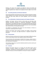

Members, who create in the workplace any intellectual, artistic and scientific work susceptible to protection in accordance with Brazilian Law, will have the moral rights under the respective work. However, the Company will own the rights of use of such work.

#### **5.8. Accounting operations and [financial statements](http://www.linguee.com.br/ingles-portugues/traducao/financial+statements.html)**

All accounting operations and financial and economic activities involving the Company shall be registered in the Company's financial system and the Company's accounting records and shall strictly observe the current legislation, rules and accounting principles.

# **5.9. The confidentiality of intellectual property and Company information**

Members and Partners shall not disclose to third parties any information, data, materials, documents, technical or commercial specifications, innovations, improvements or any intellectual property from the Company that they may have been exposed to as a result of their work, unless: (a) expressly authorized by the Company; (b) already available in the public domain; (c) is required by law, court or administrative order, within the limits of the requested information.

The obligation of confidentiality shall continue even when Members or Partners no longer have a relationship with the Company.

Members and Partners shall, whenever possible and available, archive physical documents in a safe place, and digital documents in equipment protected with passwords.

#### **5.10. Communication**

Members and Partners shall ensure the Company's good image by fulfilling the policies of use of social networks and the rules relating to external communications.

All communication with external parties on behalf of the Company, whether written or verbal (such as lectures and interviews), shall only be conducted with the Company's prior authorization and guidance.

The Company's image, logo or any other institutional symbol may only be used by prior Company authorization.

#### **5.11. Contracts**

Members and Partners shall act in an honest, fair and ethical manner with all customers, Company's suppliers and competitors. The use of unfair practices, manipulation, concealment or misrepresentation of the facts or the use of privileged information during any contractual negotiation involving the Company is forbidden.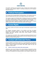

All contracts, payments and commitments made on behalf of the Company shall be according to the Company's Bylaws or previously authorized by the Company's Executives Members.

#### **Political Participation** 6

The Company does not adopt political or partisan positions. The Company's resources, space and image shall not be used to serve political, personal or party interests.

The Company respects the individual rights of Members that want to be involved in civic affairs or political process. However, such participation shall take place outside the workplace and during Member's free time and at his or hers own expense. Members who choose to apply for a political or public position or want to manifest publicly political issues, shall refrain from their function in the Company.

#### **Human Rights** 7

All Company activities and business shall respect internationally-recognized human rights.

The Company encourages diversity in the workforce and does not tolerate discrimination or prejudice related to race, religion, age, gender, political affiliation, ideology, social class, nationality, marital status, sexual orientation or physical condition of any kind.

The Company does not tolerate, allow or condone any business involving the use of forced labor and/or child labor, sexual exploitation and human trafficking in any process related to its activities and businesses.

#### **Conduct with Externals Parties** 8

Company Members and Partners shall act in a non-discriminatory and productive manner and with social and environmental responsibility regarding external parties and relations. Company Members and Partners shall always respect the laws and regulations of each location.

# **8.1. Conflict of interest and conduct with external parties**

All Members, in the course of relations with: (i) others Members; (ii) potential or existing Partners, suppliers, business partners, consultants; (iii) public authorities and/or; (iv) community, are prohibited from using their position in the Company to obtain any kind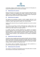

of advantage, privilege or benefit, directly or indirectly, personal or for third parties, for purposes incompatible with the interests of the Company.

#### **8.2. Relationship with customers**

Members and Partners must maintain a clear, ethical and efficient relationship with the Company's customers by identifying their priorities, meeting their needs, ensuring quality of service, reliability and confidentiality of information provided, respecting the agreements signed and the promised or expected deadlines.

# **8.3. Relationship with suppliers**

The selection and contracting of product or service suppliers shall aim for the Company's best interests and be based on technical and professional criteria, such as competence, quality, supply capacity, deadline, price, financial stability.

Suppliers shall comply with all laws and regulations applicable to the service or product contracted.

The Company may terminate a business relationship with a supplier if there is any damage to its interests, image or in case a supplier does not comply with a tax, environmental, health, safety or other legal requirement.

If a supplier has family or personal relationship with a Member, the Company's business relationship will only be allowed by prior authorization by the Company's Executive Members. In cases involving the Company´s Executive Members, a prior authorization by the Company's Board of Directors is needed. In cases involving the Company's Board of Directors, a prior authorization by the Company's Shareholders is required.

#### **8.4. Relationship with public authorities**

The practice of any act against government property and public values is not allowed. Members and Partners shall avoid circumstances that might create conflict of interest with the government or that might compromise the collective interest in an improper manner. Any actual or potential conflict shall be informed to the responsible manager, Company's Ethics Committee or the reporting channel.

The Company shall be immediately informed about any claim presented by a government representative against any Company Member.

#### **8.5. Relationship with communities**

The Company is committed to the development of the communities where it is located and to keep open communication channels with them.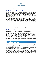

The Company will, at the appropriate time, inform local communities about health and safety issues concerning its business.

# **8.6. Gifts, Sponsorships, Donations and Others**

Members are permitted, within parameters of proportionality and reasonableness applicable to a normal commercial relationship, offer and receive gifts (without commercial value), invitations to events and payment of expenses, provided that they are appropriate to satisfy a legitimate business need or a real opportunity for professional development.

The offering and receival of gifts (without commercial value), invitations to events and payment of expenses shall be previously approved by the responsible manager, or, when exceeding the value of R\$ 150,00 (one hundred and fifty Reais) per person and event, by the Company Executive Members. Under no circumstances, Members may give or receive money or other personal advantage as a gift.

All sponsorships or contributions offered on behalf of the Company shall be previously approved by the Company and registered in the Company's records.

No Company sponsorship or contribution shall be made in exchange of improper benefits to Company, Members, Public Authorities or third parties.

#### **8.7. Relationship with competitors**

Fair competition shall be the basic element in all Company operations.

Members are prohibited to perform any understandings and/or agreements with competitors, explicit or implied, which may provide competitive advantages to competitor or restrict in any way the free competition of the market, manipulate the results of a public bidding or competitive public processes.

Members are prohibited to make any comments that may negatively affect the image of competitors or contribute to the spread of untrue rumors about them.

#### 9 **Anticorruption**

The Company does not tolerate any act related to corruption that could be considered a serious violation of this Code and will subject the offender to immediate resignation or contract termination, as applicable.

Members and Partners shall act ethically and refrain from any illegal business and coercive or fraudulent practices, under penalty provided in this Code.

Members and Partners are prohibited to: (i) promise, offer, give or receive, directly or indirectly, financial or non-financial benefits, payments, gifts or any kind of advantages that constitute illegal or corrupt practice; (ii) falsify, defraud, manipulate or omit facts or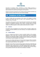

documents; (iii) defraud, hinder, manipulate or prevent bidding processes or performance of administrative contracts or; (iv) defraud, hinder, manipulate or prevent public authorities from performing investigations and inspections.

Members and Partners shall report to the Company and the competent authorities any situation involving corruption that may come to their knowledge.

#### **Violations of this Code** 10

In case of doubts about any provisions of this Code or the integrity of conduct, Members and Partners shall take the matter to their responsible manager or the Company's Ethics Committee.

Any violation of the provisions of this Code shall subject the offender to the applicable penalties and disciplinary sanctions, which include a warning (verbal or formal), suspension, resignation and termination of the contract, according to the gravity of the violation and without prejudice to other penalties authorized by law or contract.

# **10.1. Violations**

All violations will be investigated by the Company's Ethics Committee, judged by the Company's Executive Members and, when necessary, the competent authorities will be informed.

#### **10.2. Violation Reports**

Any act or situation that involves an actual or potential violation of the principles, guidelines or rules of this Code or any other Company policy shall be immediately reported to the responsible manager, Company Executive Members, Company Board of Directors or the Company's Ethics Committee, directly or anonymously, through any communication channels available in the Company.

In any case, the violation shall always be informed to the Company's Ethics Committee which will take all applicable measures, including those related to communication to the competent public authorities, when applicable.

Regardless of the method, all communications shall be treated with confidentiality and anonymity, except in cases where the confidentiality and anonymity were expressly renounced or when required by law or court order, regulatory body or stock market. Any form of retaliation against the person who in good faith reports any fact contrary to the guidelines set forth in this Code will not be allowed or tolerated.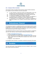

# **10.3. Company's Ethics Committee**

The Company's Ethics Committee will be formed by 3 (three) members elected by the Company's Executive Members and will be responsible:

- (i) To raise awareness, spread and monitor the implementation of the rules described in this Code among Members and the Company's Partners;
- (ii) To clarify questions and provide guidance on compliance with this Code;
- (iii) To conduct the investigation of any violation of this Code;
- (iv) To recommend to the Company's Executive Members the application of appropriate penalties to the Member or Partner violating this Code;
- (v) To recommend to the Company Board of Directors the application of appropriate penalties to the Company's Executive Member offender of this Code.

#### **Ombudsman Channel** 11

The Ombudsman Channel is a confidential and direct communication channel, created to guarantee for internal or external party the means to report about conduct or behavior that is not in accordance with the principles and rules of the Code of Ethics and Professional Conduct of the Company or of the law.

The Ombudsman Channel can also be used for any doubts, questions or suggestions about this Code. Make your report through the following Ombudsman Channels:

- ◆ Email: [ouvidoria@portocentral.com.br](mailto:ouvidoria@portocentral.com.br)
- Electronic message via our website page: [www.portocentral.com.br](http://www.portocentral.com.br/)
- Letter addressed to the Company's Ethics Committee at Rua José Alexandre Buaiz, nº 350, Store 08, Ed. Affinity Work, Enseada do Suá, Vitória –ES, CEP: 29.050-545.
- Telephone: + 55 (27) 3200-3779

In all available contact channels, it is possible to maintain the anonymity of the report.

#### **Duration** 12

This Code shall remain in force indefinitely and may be reviewed in order to ensure that it remains relevant and effective.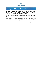

# **Receipt and Commitment Term**

I confirm, for all purposes, that I received a full copy of the Porto Central Complexo Industrial Portuário S.A. Code of Ethics and Professional Conduct and I am aware of its provisions and its relevance for the Company´s activities.

I declare that I have been informed and fully understand the rights and obligations of this Code.

I also understand that this Code was developed to be a guide to the Company's policy to conduct its business. I shall immediately report to my responsible manager any event current not expressly foreseen by this Code.

The signature and / or electronic acceptance of this Code is an expression of free consent on the compliance of all the provisions set forth herein.

| Name:           |  |
|-----------------|--|
| Department:     |  |
| Place and date: |  |
| Signature:      |  |